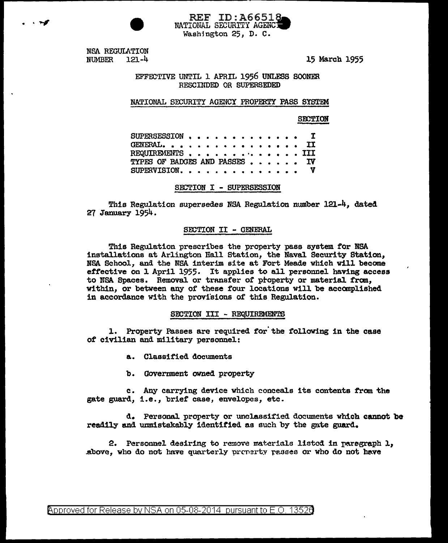**REF ID:A66518** NATIONAL SECURITY AGENCY Washington 25, D. C.

NSA REGULATION  $121 - 4$ **NUMBER** 

. . 4

15 March 1955

EFFECTIVE UNTIL 1 APRIL 1956 UNLESS SOONER RESCINDED OR SUPERSEDED

#### NATIONAL SECURITY AGENCY PROPERTY PASS SYSTEM

**SECTION** 

| SUPERSESSION, $\cdots$ , T    |  |  |  |  |  |  |  |  |  |
|-------------------------------|--|--|--|--|--|--|--|--|--|
| GENERAL. II                   |  |  |  |  |  |  |  |  |  |
| REQUIREMENTS III              |  |  |  |  |  |  |  |  |  |
| TYPES OF BADGES AND PASSES IV |  |  |  |  |  |  |  |  |  |
| SUPERVISION. $V$              |  |  |  |  |  |  |  |  |  |

SECTION I - SUPERSESSION

This Regulation supersedes NSA Regulation number 121-4, dated 27 January 1954.

### SECTION II - GENERAL

This Regulation prescribes the property pass system for NSA installations at Arlington Hall Station, the Naval Security Station, NSA School, and the NSA interim site at Fort Meade which will become effective on 1 April 1955. It applies to all personnel having access to NSA Spaces. Removal or transfer of property or material from, within, or between any of these four locations will be accomplished in accordance with the provisions of this Regulation.

#### SECTION III - REQUIREMENTS

1. Property Passes are required for the following in the case of civilian and military personnel:

a. Classified documents

 $\mathbf{b}$ . Government owned property

c. Any carrying device which conceals its contents from the gate guard, i.e., brief case, envelopes, etc.

d. Personal property or unclassified documents which cannot be readily and unmistakably identified as such by the gate guard.

2. Personnel desiring to remove materials listed in paragraph 1. above, who do not have quarterly property passes or who do not have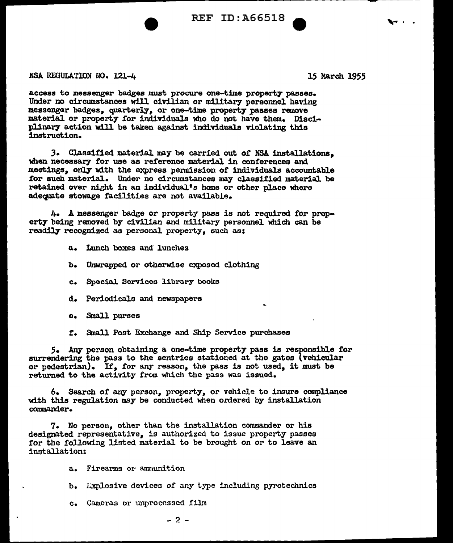$REF$  ID: $A66518$ 

NSA REGULATION NO. 121-4 15 March 1955

access to messenger badges must procure one-time property passes. Under no circumstances will civilian or military personnel having messenger badges, quarterly, or one-time property passes remove material or property for individuals who do not have them. Disciplinary action will be taken against individuals violating this instruction.

3. Classified material may be carried out of NSA installations. when necessary for use as reference material in conferences and meetings, only with the express permission of individuals accountable for such material. Under no circumstances may classified material be retained over night in an individual's home or other place where adequate stowage facilities are not available.

4. A messenger badge or property pass is not required *tor* property being removed by civilian and military personnel which can be readily recognized as personal property, such as:

- a. Lunch boxes and lunches
- b. Unwrapped or otherwise exposed clothing
- c. Special Services library books
- d. Periodicals and newspapers
- e. Small purses
- *t.* Small Post Exchange and Ship Service purchases

5. Any person obtaining a one-time property pass is responsible for surrendering the pass to the sentries stationed at the gates (vehicular or pedestrian). If, for any reason, the pass is not used, it must be returned to the activity from which the pass was issued.

6. Search or any person, properly, or vehicle to insure compliance with this regulation may be conducted when ordered by installation commander.

7. No person, other than the installation commander or his designated representative, is authorized to issue property passes for the following listed material to be brought on or to leave an installation:

a. Fireanns 01· ammunition

- b. Lxplosive devices of any type including pyrotechnics
- c. Cameras or unprocessed film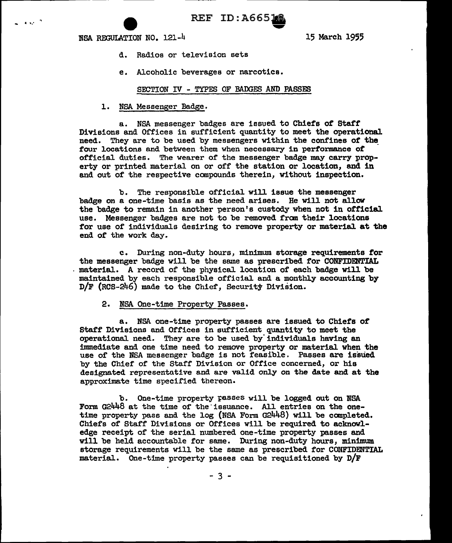- ...... e REF ID:A665. ...... NSA REXIDIATION NO. 121-4 15 March 1955

- d. Radios or television sets
- e. Alcoholic beverages or narcotics.

## SECTION IV - TYPES OF BADGES AND PASSES

l. NSA. Messenger Badge.

a. NSA messenger badges are issued to Chiefs of Staff Divisions and Offices in sufficient quantity to meet the operational need. They are to be used by messengers within the confines *ot* the\_ four locations and between them when necessary in performance *ot*  official duties. The wearer of the messenger badge may carry property or printed material on or off the station or location, and in and out of the respective compounds therein, without inspection.

b. The responsible official will issue the messenger badge on a one-time basis as the need arises. He will not allow the badge to remain in another person's custody when not in official use. Messenger badges are not to be removed fran their locations for use of individuals desiring to remove property or material at the end of the work day.

c. During non-duty hours, minimwn storage requirements for the messenger badge will be the same as prescribed for CONFIDENTIAL materiaL A record of the physical. location of each badge will be maintained by each responsible official. and a monthly accounting by D/F (RCB-246) made to the Chief, Security Division.

## 2. NSA One-time Property Passes.

a. NSA one-time property passes are issued to Chiefs of Staff Divisions and Offices in sufficient quantity to meet the operational need. They are to be used by' individuals having an innnediate and one time need to remove property or material when the use of the NSA messenger badge is not feasible. Passes are issued by the Chief' of the Staff Division or Office concerned, or his designated representative and are valid only on the date and at the approximate time specified thereon.

b. One-time property passes will be logged out on NSA Form G2448 at the time of the issuance. All entries on the onetime property pass and the log (NSA Form G2448) will be canpleted. Chiefs of Staff Divisions or Offices will be required to acknowledge receipt of the serial numbered one-time property passes and will be held accountable for same. During non-duty hours, minimum storage requirements will be the same as prescribed for CONFIDENTIAL material. One-time property passes can be requisitioned by  $D/F$